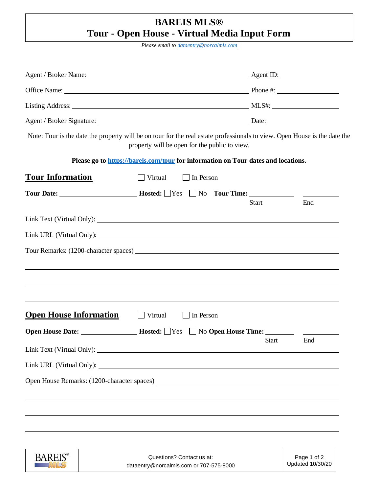## **BAREIS MLS® Tour - Open House - Virtual Media Input Form**

*Please email to [dataentry@norcalmls.com](mailto:dataentry@norcalmls.com)*

| Note: Tour is the date the property will be on tour for the real estate professionals to view. Open House is the date the                                                                                                          | property will be open for the public to view. |                  |                                                                                        |     |
|------------------------------------------------------------------------------------------------------------------------------------------------------------------------------------------------------------------------------------|-----------------------------------------------|------------------|----------------------------------------------------------------------------------------|-----|
| Please go to https://bareis.com/tour for information on Tour dates and locations.                                                                                                                                                  |                                               |                  |                                                                                        |     |
| <b>Tour Information</b>                                                                                                                                                                                                            | $\Box$ Virtual                                | $\Box$ In Person |                                                                                        |     |
| Tour Date: <u>No. 2010</u> Losted: No. 2010 Tour Time: No. 2010 Date: No. 2010 Date: No. 2010 Date: No. 2010 Date: No. 2010 Date: No. 2010 Date: No. 2010 Date: No. 2010 Date: No. 2010 Date: No. 2010 Date: No. 2010 Date: No. 20 |                                               |                  |                                                                                        |     |
|                                                                                                                                                                                                                                    |                                               |                  | <b>Start</b>                                                                           | End |
|                                                                                                                                                                                                                                    |                                               |                  |                                                                                        |     |
|                                                                                                                                                                                                                                    |                                               |                  |                                                                                        |     |
|                                                                                                                                                                                                                                    |                                               |                  |                                                                                        |     |
|                                                                                                                                                                                                                                    |                                               |                  |                                                                                        |     |
|                                                                                                                                                                                                                                    |                                               |                  |                                                                                        |     |
|                                                                                                                                                                                                                                    |                                               |                  |                                                                                        |     |
| <b>Open House Information</b>                                                                                                                                                                                                      | $\Box$ Virtual                                | $\Box$ In Person |                                                                                        |     |
|                                                                                                                                                                                                                                    |                                               |                  | $\blacksquare$ Hosted: $\blacksquare$ Yes $\blacksquare$ No Open House Time: _________ |     |
|                                                                                                                                                                                                                                    |                                               |                  | <b>Start</b>                                                                           | End |
|                                                                                                                                                                                                                                    |                                               |                  |                                                                                        |     |
|                                                                                                                                                                                                                                    |                                               |                  |                                                                                        |     |
|                                                                                                                                                                                                                                    |                                               |                  |                                                                                        |     |
|                                                                                                                                                                                                                                    |                                               |                  |                                                                                        |     |
|                                                                                                                                                                                                                                    |                                               |                  |                                                                                        |     |

| <b>BAREIS</b> ® | Questions? Contact us at:               | Page 1 of 2      |
|-----------------|-----------------------------------------|------------------|
|                 | dataentry@norcalmls.com or 707-575-8000 | Updated 10/30/20 |